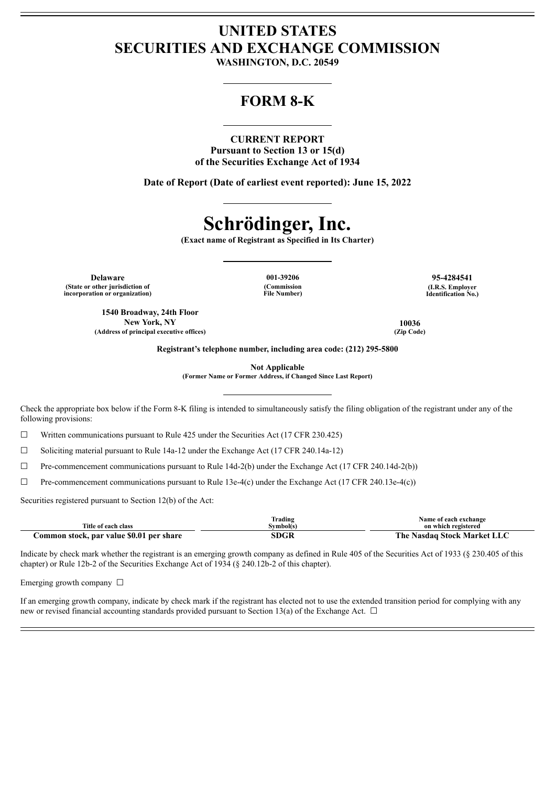# **UNITED STATES SECURITIES AND EXCHANGE COMMISSION**

**WASHINGTON, D.C. 20549**

# **FORM 8-K**

### **CURRENT REPORT**

**Pursuant to Section 13 or 15(d) of the Securities Exchange Act of 1934**

**Date of Report (Date of earliest event reported): June 15, 2022**

# **Schrödinger, Inc.**

**(Exact name of Registrant as Specified in Its Charter)**

**Delaware 001-39206 95-4284541 (State or other jurisdiction of incorporation or organization)**

**(Commission File Number)** **(I.R.S. Employer Identification No.)**

**1540 Broadway, 24th Floor New York, NY 10036 (Address of principal executive offices) (Zip Code)**

**Registrant's telephone number, including area code: (212) 295-5800**

**Not Applicable**

**(Former Name or Former Address, if Changed Since Last Report)**

Check the appropriate box below if the Form 8-K filing is intended to simultaneously satisfy the filing obligation of the registrant under any of the following provisions:

☐ Written communications pursuant to Rule 425 under the Securities Act (17 CFR 230.425)

☐ Soliciting material pursuant to Rule 14a-12 under the Exchange Act (17 CFR 240.14a-12)

 $\Box$  Pre-commencement communications pursuant to Rule 14d-2(b) under the Exchange Act (17 CFR 240.14d-2(b))

☐ Pre-commencement communications pursuant to Rule 13e-4(c) under the Exchange Act (17 CFR 240.13e-4(c))

Securities registered pursuant to Section 12(b) of the Act:

|                                          | Trading   | Name of each exchange       |
|------------------------------------------|-----------|-----------------------------|
| Title of each class                      | Symbol(s) | on which registered         |
| Common stock, par value \$0.01 per share | SDGR      | The Nasdaq Stock Market LLC |

Indicate by check mark whether the registrant is an emerging growth company as defined in Rule 405 of the Securities Act of 1933 (§ 230.405 of this chapter) or Rule 12b-2 of the Securities Exchange Act of 1934 (§ 240.12b-2 of this chapter).

Emerging growth company  $\Box$ 

If an emerging growth company, indicate by check mark if the registrant has elected not to use the extended transition period for complying with any new or revised financial accounting standards provided pursuant to Section 13(a) of the Exchange Act.  $\Box$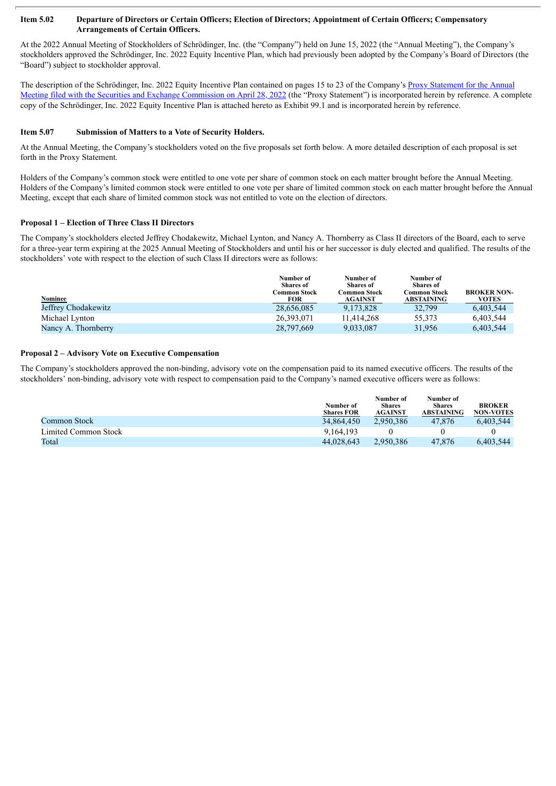#### Item 5.02 Departure of Directors or Certain Officers; Election of Directors; Appointment of Certain Officers; Compensatory **Arrangements of Certain Officers.**

At the 2022 Annual Meeting of Stockholders of Schrödinger, Inc. (the "Company") held on June 15, 2022 (the "Annual Meeting"), the Company's stockholders approved the Schrödinger, Inc. 2022 Equity Incentive Plan, which had previously been adopted by the Company's Board of Directors (the "Board") subject to stockholder approval.

The description of the [Schrödinger,](http://www.sec.gov/Archives/edgar/data/0001490978/000156459022016235/sdgr-def14a_20220615.htm#_Toc101887053) Inc. 2022 Equity Incentive Plan contained on pages 15 to 23 of the Company's Proxy Statement for the Annual Meeting filed with the Securities and Exchange Commission on April 28, 2022 (the "Proxy Statement") is incorporated herein by reference. A complete copy of the Schrödinger, Inc. 2022 Equity Incentive Plan is attached hereto as Exhibit 99.1 and is incorporated herein by reference.

#### **Item 5.07 Submission of Matters to a Vote of Security Holders.**

At the Annual Meeting, the Company's stockholders voted on the five proposals set forth below. A more detailed description of each proposal is set forth in the Proxy Statement.

Holders of the Company's common stock were entitled to one vote per share of common stock on each matter brought before the Annual Meeting. Holders of the Company's limited common stock were entitled to one vote per share of limited common stock on each matter brought before the Annual Meeting, except that each share of limited common stock was not entitled to vote on the election of directors.

#### **Proposal 1 – Election of Three Class II Directors**

The Company's stockholders elected Jeffrey Chodakewitz, Michael Lynton, and Nancy A. Thornberry as Class II directors of the Board, each to serve for a three-year term expiring at the 2025 Annual Meeting of Stockholders and until his or her successor is duly elected and qualified. The results of the stockholders' vote with respect to the election of such Class II directors were as follows:

| Nominee             | Number of<br><b>Shares</b> of<br>Common Stock<br>FOR | Number of<br><b>Shares of</b><br>C <b>ommon Stock</b><br><b>AGAINST</b> | Number of<br><b>Shares</b> of<br>Common Stock<br><b>ABSTAINING</b> | <b>BROKER NON-</b><br>VOTES |
|---------------------|------------------------------------------------------|-------------------------------------------------------------------------|--------------------------------------------------------------------|-----------------------------|
| Jeffrey Chodakewitz | 28,656,085                                           | 9,173,828                                                               | 32,799                                                             | 6,403,544                   |
| Michael Lynton      | 26.393.071                                           | 11.414.268                                                              | 55,373                                                             | 6,403,544                   |
| Nancy A. Thornberry | 28,797,669                                           | 9,033,087                                                               | 31.956                                                             | 6,403,544                   |

#### **Proposal 2 – Advisory Vote on Executive Compensation**

The Company's stockholders approved the non-binding, advisory vote on the compensation paid to its named executive officers. The results of the stockholders' non-binding, advisory vote with respect to compensation paid to the Company's named executive officers were as follows:

|                      | Number of<br><b>Shares FOR</b> | Number of<br><b>Shares</b><br><b>AGAINST</b> | Number of<br><b>Shares</b><br>ABSTAINING | <b>BROKER</b><br><b>NON-VOTES</b> |
|----------------------|--------------------------------|----------------------------------------------|------------------------------------------|-----------------------------------|
| Common Stock         | 34,864,450                     | 2.950.386                                    | 47.876                                   | 6.403.544                         |
| Limited Common Stock | 9.164.193                      |                                              |                                          |                                   |
| Total                | 44,028,643                     | 2.950.386                                    | 47.876                                   | 6.403.544                         |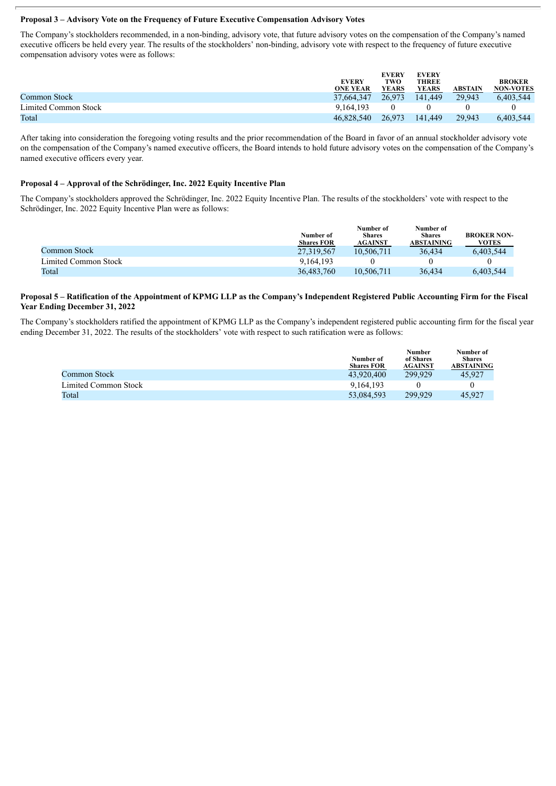#### **Proposal 3 – Advisory Vote on the Frequency of Future Executive Compensation Advisory Votes**

The Company's stockholders recommended, in a non-binding, advisory vote, that future advisory votes on the compensation of the Company's named executive officers be held every year. The results of the stockholders' non-binding, advisory vote with respect to the frequency of future executive compensation advisory votes were as follows:

|                      | <b>EVERY</b><br><b>ONE YEAR</b> | <b>EVERY</b><br>TWO<br><b>YEARS</b> | <b>EVERY</b><br><b>THREE</b><br><b>YEARS</b> | ABSTAIN | <b>BROKER</b><br><b>NON-VOTES</b> |
|----------------------|---------------------------------|-------------------------------------|----------------------------------------------|---------|-----------------------------------|
| Common Stock         | 37.664.347                      | 26.973                              | 141.449                                      | 29.943  | 6,403,544                         |
| Limited Common Stock | 9.164.193                       |                                     |                                              |         |                                   |
| Total                | 46.828.540                      | 26.973                              | 141.449                                      | 29.943  | 6,403,544                         |

After taking into consideration the foregoing voting results and the prior recommendation of the Board in favor of an annual stockholder advisory vote on the compensation of the Company's named executive officers, the Board intends to hold future advisory votes on the compensation of the Company's named executive officers every year.

#### **Proposal 4 – Approval of the Schrödinger, Inc. 2022 Equity Incentive Plan**

The Company's stockholders approved the Schrödinger, Inc. 2022 Equity Incentive Plan. The results of the stockholders' vote with respect to the Schrödinger, Inc. 2022 Equity Incentive Plan were as follows:

|                      | Number of<br><b>Shares FOR</b> | Number of<br><b>Shares</b><br><b>AGAINST</b> | Number of<br><b>Shares</b><br><b>ABSTAINING</b> | <b>BROKER NON-</b><br>VOTES |
|----------------------|--------------------------------|----------------------------------------------|-------------------------------------------------|-----------------------------|
| <b>Common Stock</b>  | 27,319,567                     | 10.506.711                                   | 36.434                                          | 6,403,544                   |
| Limited Common Stock | 9.164.193                      |                                              |                                                 |                             |
| Total                | 36,483,760                     | 10.506.711                                   | 36.434                                          | 6,403,544                   |

#### Proposal 5 - Ratification of the Appointment of KPMG LLP as the Company's Independent Registered Public Accounting Firm for the Fiscal **Year Ending December 31, 2022**

The Company's stockholders ratified the appointment of KPMG LLP as the Company's independent registered public accounting firm for the fiscal year ending December 31, 2022. The results of the stockholders' vote with respect to such ratification were as follows:

|                      | Number of<br><b>Shares FOR</b> | <b>Number</b><br>of Shares<br><b>AGAINST</b> | Number of<br><b>Shares</b><br><b>ABSTAINING</b> |
|----------------------|--------------------------------|----------------------------------------------|-------------------------------------------------|
| Common Stock         | 43.920.400                     | 299.929                                      | 45.927                                          |
| Limited Common Stock | 9.164.193                      |                                              |                                                 |
| Total                | 53,084,593                     | 299.929                                      | 45.927                                          |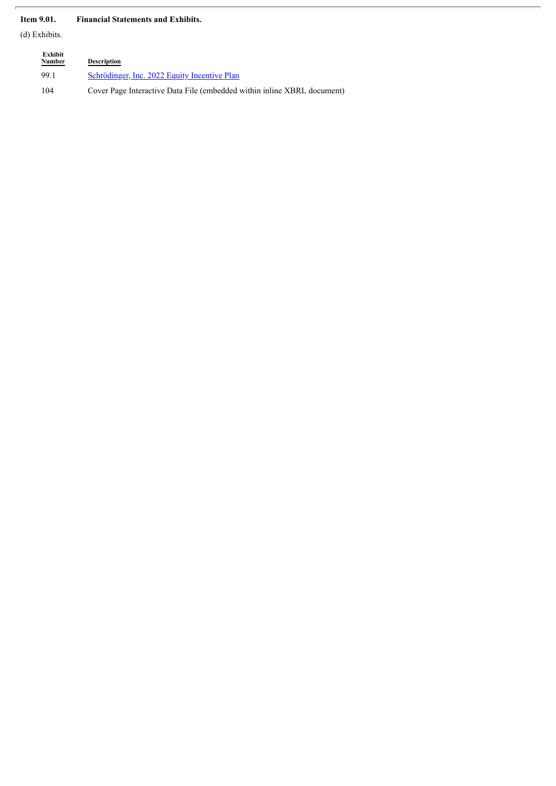## **Item 9.01. Financial Statements and Exhibits.**

(d) Exhibits.

| Exhibit<br>Number | <b>Description</b>                                                       |
|-------------------|--------------------------------------------------------------------------|
| 99.1              | Schrödinger, Inc. 2022 Equity Incentive Plan                             |
| 104               | Cover Page Interactive Data File (embedded within in line XBRL document) |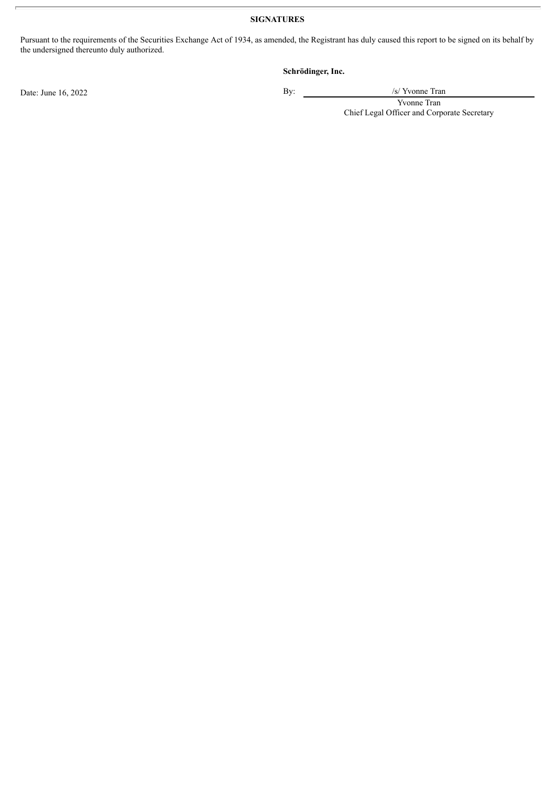# **SIGNATURES**

Pursuant to the requirements of the Securities Exchange Act of 1934, as amended, the Registrant has duly caused this report to be signed on its behalf by the undersigned thereunto duly authorized.

## **Schrödinger, Inc.**

Date: June 16, 2022 By: /s/ Yvonne Tran

Yvonne Tran Chief Legal Officer and Corporate Secretary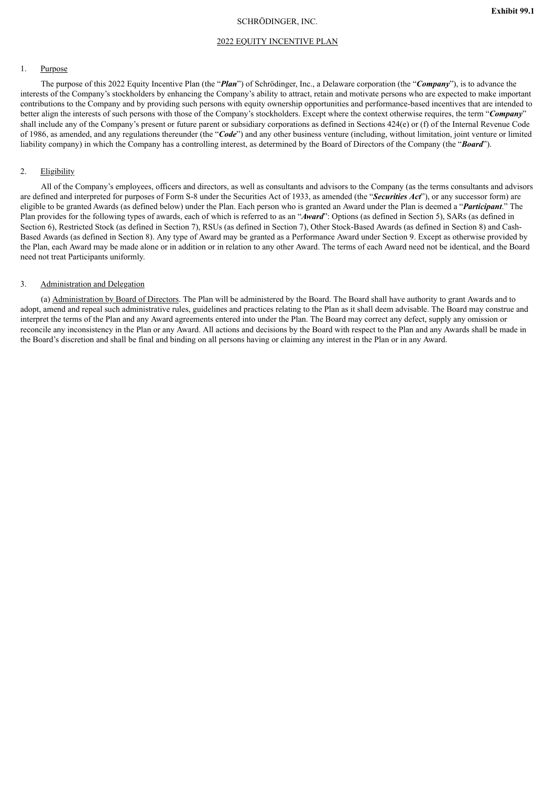#### SCHRÖDINGER, INC.

<span id="page-5-0"></span>The purpose of this 2022 Equity Incentive Plan (the "*Plan*") of Schrödinger, Inc., a Delaware corporation (the "*Company*"), is to advance the interests of the Company's stockholders by enhancing the Company's ability to attract, retain and motivate persons who are expected to make important contributions to the Company and by providing such persons with equity ownership opportunities and performance-based incentives that are intended to better align the interests of such persons with those of the Company's stockholders. Except where the context otherwise requires, the term "*Company*" shall include any of the Company's present or future parent or subsidiary corporations as defined in Sections 424(e) or (f) of the Internal Revenue Code of 1986, as amended, and any regulations thereunder (the "*Code*") and any other business venture (including, without limitation, joint venture or limited liability company) in which the Company has a controlling interest, as determined by the Board of Directors of the Company (the "*Board*").

#### 2. Eligibility

All of the Company's employees, officers and directors, as well as consultants and advisors to the Company (as the terms consultants and advisors are defined and interpreted for purposes of Form S-8 under the Securities Act of 1933, as amended (the "*Securities Act*"), or any successor form) are eligible to be granted Awards (as defined below) under the Plan. Each person who is granted an Award under the Plan is deemed a "*Participant*." The Plan provides for the following types of awards, each of which is referred to as an "*Award*": Options (as defined in Section 5), SARs (as defined in Section 6), Restricted Stock (as defined in Section 7), RSUs (as defined in Section 7), Other Stock-Based Awards (as defined in Section 8) and Cash-Based Awards (as defined in Section 8). Any type of Award may be granted as a Performance Award under Section 9. Except as otherwise provided by the Plan, each Award may be made alone or in addition or in relation to any other Award. The terms of each Award need not be identical, and the Board need not treat Participants uniformly.

#### 3. Administration and Delegation

(a) Administration by Board of Directors. The Plan will be administered by the Board. The Board shall have authority to grant Awards and to adopt, amend and repeal such administrative rules, guidelines and practices relating to the Plan as it shall deem advisable. The Board may construe and interpret the terms of the Plan and any Award agreements entered into under the Plan. The Board may correct any defect, supply any omission or reconcile any inconsistency in the Plan or any Award. All actions and decisions by the Board with respect to the Plan and any Awards shall be made in the Board's discretion and shall be final and binding on all persons having or claiming any interest in the Plan or in any Award.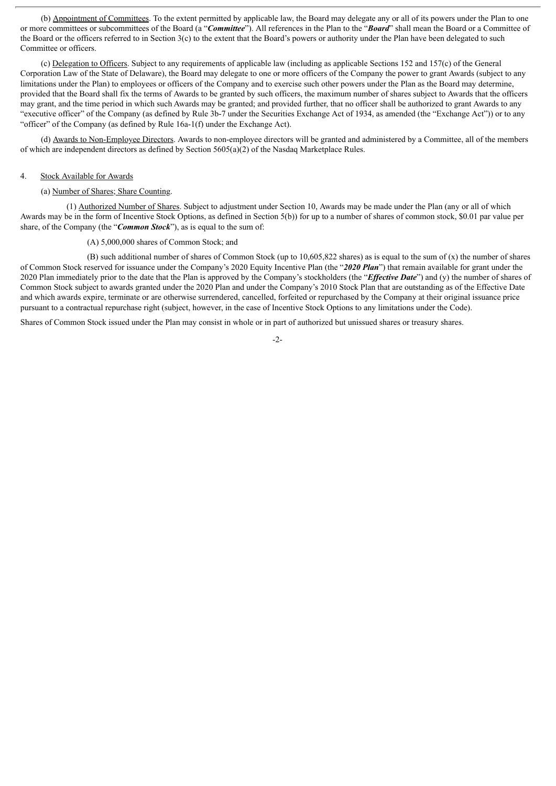(b) Appointment of Committees. To the extent permitted by applicable law, the Board may delegate any or all of its powers under the Plan to one or more committees or subcommittees of the Board (a "*Committee*"). All references in the Plan to the "*Board*" shall mean the Board or a Committee of the Board or the officers referred to in Section 3(c) to the extent that the Board's powers or authority under the Plan have been delegated to such Committee or officers.

(c) Delegation to Officers. Subject to any requirements of applicable law (including as applicable Sections 152 and 157(c) of the General Corporation Law of the State of Delaware), the Board may delegate to one or more officers of the Company the power to grant Awards (subject to any limitations under the Plan) to employees or officers of the Company and to exercise such other powers under the Plan as the Board may determine, provided that the Board shall fix the terms of Awards to be granted by such officers, the maximum number of shares subject to Awards that the officers may grant, and the time period in which such Awards may be granted; and provided further, that no officer shall be authorized to grant Awards to any "executive officer" of the Company (as defined by Rule 3b-7 under the Securities Exchange Act of 1934, as amended (the "Exchange Act")) or to any "officer" of the Company (as defined by Rule 16a-1(f) under the Exchange Act).

(d) Awards to Non-Employee Directors. Awards to non-employee directors will be granted and administered by a Committee, all of the members of which are independent directors as defined by Section 5605(a)(2) of the Nasdaq Marketplace Rules.

#### 4. Stock Available for Awards

#### (a) Number of Shares; Share Counting.

(1) Authorized Number of Shares. Subject to adjustment under Section 10, Awards may be made under the Plan (any or all of which Awards may be in the form of Incentive Stock Options, as defined in Section 5(b)) for up to a number of shares of common stock, \$0.01 par value per share, of the Company (the "*Common Stock*"), as is equal to the sum of:

#### (A) 5,000,000 shares of Common Stock; and

(B) such additional number of shares of Common Stock (up to  $10.605.822$  shares) as is equal to the sum of (x) the number of shares of Common Stock reserved for issuance under the Company's 2020 Equity Incentive Plan (the "*2020 Plan*") that remain available for grant under the 2020 Plan immediately prior to the date that the Plan is approved by the Company's stockholders (the "*Effective Date*") and (y) the number of shares of Common Stock subject to awards granted under the 2020 Plan and under the Company's 2010 Stock Plan that are outstanding as of the Effective Date and which awards expire, terminate or are otherwise surrendered, cancelled, forfeited or repurchased by the Company at their original issuance price pursuant to a contractual repurchase right (subject, however, in the case of Incentive Stock Options to any limitations under the Code).

Shares of Common Stock issued under the Plan may consist in whole or in part of authorized but unissued shares or treasury shares.

 $-2-$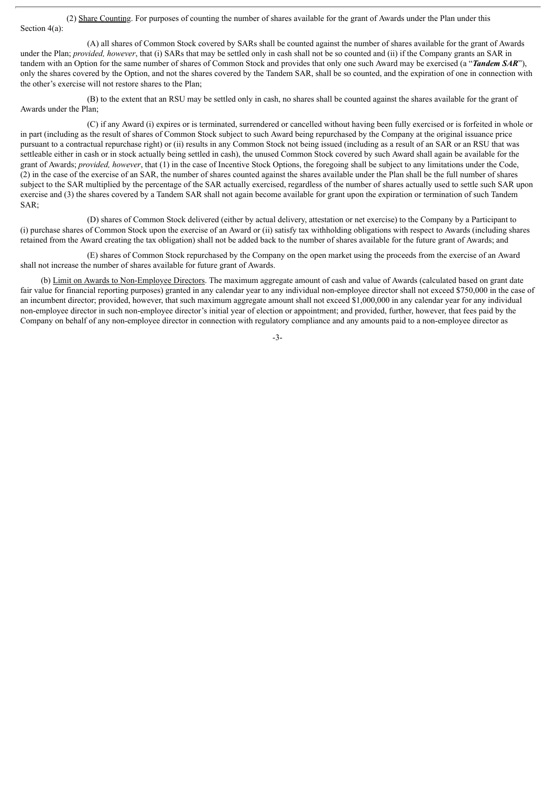(2) Share Counting. For purposes of counting the number of shares available for the grant of Awards under the Plan under this Section 4(a):

(A) all shares of Common Stock covered by SARs shall be counted against the number of shares available for the grant of Awards under the Plan; *provided, however*, that (i) SARs that may be settled only in cash shall not be so counted and (ii) if the Company grants an SAR in tandem with an Option for the same number of shares of Common Stock and provides that only one such Award may be exercised (a "*Tandem SAR*"), only the shares covered by the Option, and not the shares covered by the Tandem SAR, shall be so counted, and the expiration of one in connection with the other's exercise will not restore shares to the Plan;

(B) to the extent that an RSU may be settled only in cash, no shares shall be counted against the shares available for the grant of Awards under the Plan;

(C) if any Award (i) expires or is terminated, surrendered or cancelled without having been fully exercised or is forfeited in whole or in part (including as the result of shares of Common Stock subject to such Award being repurchased by the Company at the original issuance price pursuant to a contractual repurchase right) or (ii) results in any Common Stock not being issued (including as a result of an SAR or an RSU that was settleable either in cash or in stock actually being settled in cash), the unused Common Stock covered by such Award shall again be available for the grant of Awards; *provided, however*, that (1) in the case of Incentive Stock Options, the foregoing shall be subject to any limitations under the Code, (2) in the case of the exercise of an SAR, the number of shares counted against the shares available under the Plan shall be the full number of shares subject to the SAR multiplied by the percentage of the SAR actually exercised, regardless of the number of shares actually used to settle such SAR upon exercise and (3) the shares covered by a Tandem SAR shall not again become available for grant upon the expiration or termination of such Tandem SAR;

(D) shares of Common Stock delivered (either by actual delivery, attestation or net exercise) to the Company by a Participant to (i) purchase shares of Common Stock upon the exercise of an Award or (ii) satisfy tax withholding obligations with respect to Awards (including shares retained from the Award creating the tax obligation) shall not be added back to the number of shares available for the future grant of Awards; and

(E) shares of Common Stock repurchased by the Company on the open market using the proceeds from the exercise of an Award shall not increase the number of shares available for future grant of Awards.

(b) Limit on Awards to Non-Employee Directors. The maximum aggregate amount of cash and value of Awards (calculated based on grant date fair value for financial reporting purposes) granted in any calendar year to any individual non-employee director shall not exceed \$750,000 in the case of an incumbent director; provided, however, that such maximum aggregate amount shall not exceed \$1,000,000 in any calendar year for any individual non-employee director in such non-employee director's initial year of election or appointment; and provided, further, however, that fees paid by the Company on behalf of any non-employee director in connection with regulatory compliance and any amounts paid to a non-employee director as

-3-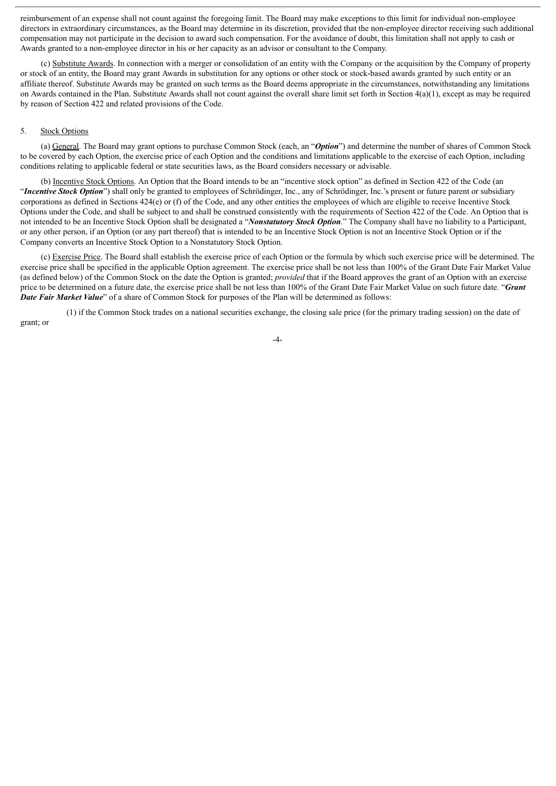reimbursement of an expense shall not count against the foregoing limit. The Board may make exceptions to this limit for individual non-employee directors in extraordinary circumstances, as the Board may determine in its discretion, provided that the non-employee director receiving such additional compensation may not participate in the decision to award such compensation. For the avoidance of doubt, this limitation shall not apply to cash or Awards granted to a non-employee director in his or her capacity as an advisor or consultant to the Company.

(c) Substitute Awards. In connection with a merger or consolidation of an entity with the Company or the acquisition by the Company of property or stock of an entity, the Board may grant Awards in substitution for any options or other stock or stock-based awards granted by such entity or an affiliate thereof. Substitute Awards may be granted on such terms as the Board deems appropriate in the circumstances, notwithstanding any limitations on Awards contained in the Plan. Substitute Awards shall not count against the overall share limit set forth in Section  $4(a)(1)$ , except as may be required by reason of Section 422 and related provisions of the Code.

#### 5. Stock Options

(a) General. The Board may grant options to purchase Common Stock (each, an "*Option*") and determine the number of shares of Common Stock to be covered by each Option, the exercise price of each Option and the conditions and limitations applicable to the exercise of each Option, including conditions relating to applicable federal or state securities laws, as the Board considers necessary or advisable.

(b) Incentive Stock Options. An Option that the Board intends to be an "incentive stock option" as defined in Section 422 of the Code (an "*Incentive Stock Option*") shall only be granted to employees of Schrödinger, Inc., any of Schrödinger, Inc.'s present or future parent or subsidiary corporations as defined in Sections 424(e) or (f) of the Code, and any other entities the employees of which are eligible to receive Incentive Stock Options under the Code, and shall be subject to and shall be construed consistently with the requirements of Section 422 of the Code. An Option that is not intended to be an Incentive Stock Option shall be designated a "*Nonstatutory Stock Option*." The Company shall have no liability to a Participant, or any other person, if an Option (or any part thereof) that is intended to be an Incentive Stock Option is not an Incentive Stock Option or if the Company converts an Incentive Stock Option to a Nonstatutory Stock Option.

(c) Exercise Price. The Board shall establish the exercise price of each Option or the formula by which such exercise price will be determined. The exercise price shall be specified in the applicable Option agreement. The exercise price shall be not less than 100% of the Grant Date Fair Market Value (as defined below) of the Common Stock on the date the Option is granted; *provided* that if the Board approves the grant of an Option with an exercise price to be determined on a future date, the exercise price shall be not less than 100% of the Grant Date Fair Market Value on such future date. "*Grant Date Fair Market Value*" of a share of Common Stock for purposes of the Plan will be determined as follows:

(1) if the Common Stock trades on a national securities exchange, the closing sale price (for the primary trading session) on the date of grant; or

-4-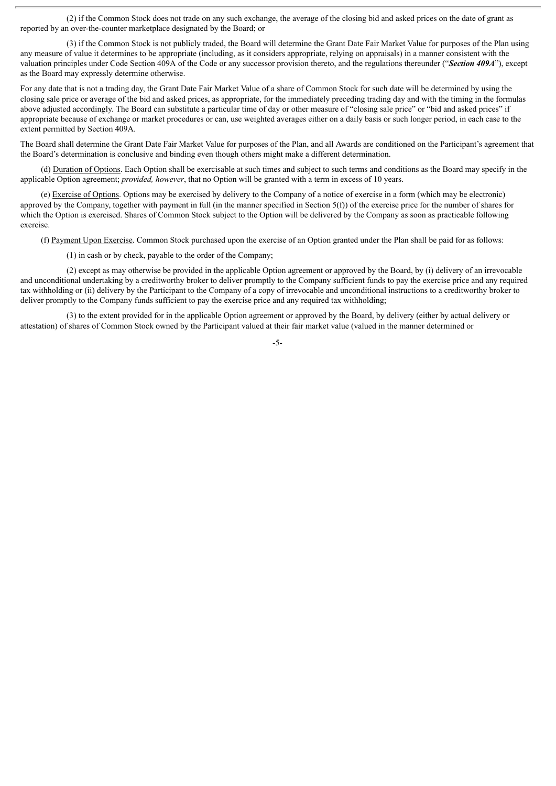(2) if the Common Stock does not trade on any such exchange, the average of the closing bid and asked prices on the date of grant as reported by an over-the-counter marketplace designated by the Board; or

(3) if the Common Stock is not publicly traded, the Board will determine the Grant Date Fair Market Value for purposes of the Plan using any measure of value it determines to be appropriate (including, as it considers appropriate, relying on appraisals) in a manner consistent with the valuation principles under Code Section 409A of the Code or any successor provision thereto, and the regulations thereunder ("*Section 409A*"), except as the Board may expressly determine otherwise.

For any date that is not a trading day, the Grant Date Fair Market Value of a share of Common Stock for such date will be determined by using the closing sale price or average of the bid and asked prices, as appropriate, for the immediately preceding trading day and with the timing in the formulas above adjusted accordingly. The Board can substitute a particular time of day or other measure of "closing sale price" or "bid and asked prices" if appropriate because of exchange or market procedures or can, use weighted averages either on a daily basis or such longer period, in each case to the extent permitted by Section 409A.

The Board shall determine the Grant Date Fair Market Value for purposes of the Plan, and all Awards are conditioned on the Participant's agreement that the Board's determination is conclusive and binding even though others might make a different determination.

(d) Duration of Options. Each Option shall be exercisable at such times and subject to such terms and conditions as the Board may specify in the applicable Option agreement; *provided, however*, that no Option will be granted with a term in excess of 10 years.

(e) Exercise of Options. Options may be exercised by delivery to the Company of a notice of exercise in a form (which may be electronic) approved by the Company, together with payment in full (in the manner specified in Section  $5(f)$ ) of the exercise price for the number of shares for which the Option is exercised. Shares of Common Stock subject to the Option will be delivered by the Company as soon as practicable following exercise.

(f) Payment Upon Exercise. Common Stock purchased upon the exercise of an Option granted under the Plan shall be paid for as follows:

(1) in cash or by check, payable to the order of the Company;

(2) except as may otherwise be provided in the applicable Option agreement or approved by the Board, by (i) delivery of an irrevocable and unconditional undertaking by a creditworthy broker to deliver promptly to the Company sufficient funds to pay the exercise price and any required tax withholding or (ii) delivery by the Participant to the Company of a copy of irrevocable and unconditional instructions to a creditworthy broker to deliver promptly to the Company funds sufficient to pay the exercise price and any required tax withholding;

(3) to the extent provided for in the applicable Option agreement or approved by the Board, by delivery (either by actual delivery or attestation) of shares of Common Stock owned by the Participant valued at their fair market value (valued in the manner determined or

-5-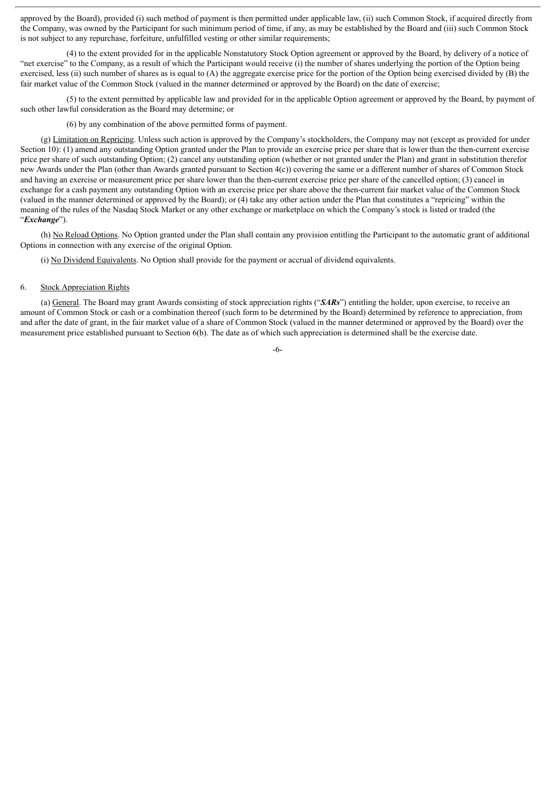approved by the Board), provided (i) such method of payment is then permitted under applicable law, (ii) such Common Stock, if acquired directly from the Company, was owned by the Participant for such minimum period of time, if any, as may be established by the Board and (iii) such Common Stock is not subject to any repurchase, forfeiture, unfulfilled vesting or other similar requirements;

(4) to the extent provided for in the applicable Nonstatutory Stock Option agreement or approved by the Board, by delivery of a notice of "net exercise" to the Company, as a result of which the Participant would receive (i) the number of shares underlying the portion of the Option being exercised, less (ii) such number of shares as is equal to  $(A)$  the aggregate exercise price for the portion of the Option being exercised divided by  $(B)$  the fair market value of the Common Stock (valued in the manner determined or approved by the Board) on the date of exercise;

(5) to the extent permitted by applicable law and provided for in the applicable Option agreement or approved by the Board, by payment of such other lawful consideration as the Board may determine; or

(6) by any combination of the above permitted forms of payment.

(g) Limitation on Repricing. Unless such action is approved by the Company's stockholders, the Company may not (except as provided for under Section 10): (1) amend any outstanding Option granted under the Plan to provide an exercise price per share that is lower than the then-current exercise price per share of such outstanding Option; (2) cancel any outstanding option (whether or not granted under the Plan) and grant in substitution therefor new Awards under the Plan (other than Awards granted pursuant to Section 4(c)) covering the same or a different number of shares of Common Stock and having an exercise or measurement price per share lower than the then-current exercise price per share of the cancelled option; (3) cancel in exchange for a cash payment any outstanding Option with an exercise price per share above the then-current fair market value of the Common Stock (valued in the manner determined or approved by the Board); or (4) take any other action under the Plan that constitutes a "repricing" within the meaning of the rules of the Nasdaq Stock Market or any other exchange or marketplace on which the Company's stock is listed or traded (the "*Exchange*").

(h) No Reload Options. No Option granted under the Plan shall contain any provision entitling the Participant to the automatic grant of additional Options in connection with any exercise of the original Option.

(i) No Dividend Equivalents. No Option shall provide for the payment or accrual of dividend equivalents.

#### 6. Stock Appreciation Rights

(a) General. The Board may grant Awards consisting of stock appreciation rights ("*SARs*") entitling the holder, upon exercise, to receive an amount of Common Stock or cash or a combination thereof (such form to be determined by the Board) determined by reference to appreciation, from and after the date of grant, in the fair market value of a share of Common Stock (valued in the manner determined or approved by the Board) over the measurement price established pursuant to Section 6(b). The date as of which such appreciation is determined shall be the exercise date.

-6-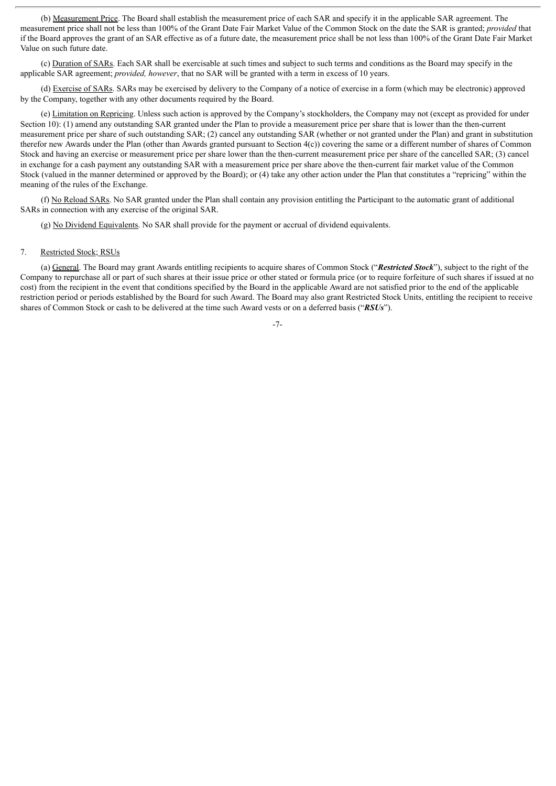(b) Measurement Price. The Board shall establish the measurement price of each SAR and specify it in the applicable SAR agreement. The measurement price shall not be less than 100% of the Grant Date Fair Market Value of the Common Stock on the date the SAR is granted; *provided* that if the Board approves the grant of an SAR effective as of a future date, the measurement price shall be not less than 100% of the Grant Date Fair Market Value on such future date.

(c) Duration of SARs. Each SAR shall be exercisable at such times and subject to such terms and conditions as the Board may specify in the applicable SAR agreement; *provided, however*, that no SAR will be granted with a term in excess of 10 years.

(d) Exercise of SARs. SARs may be exercised by delivery to the Company of a notice of exercise in a form (which may be electronic) approved by the Company, together with any other documents required by the Board.

(e) Limitation on Repricing. Unless such action is approved by the Company's stockholders, the Company may not (except as provided for under Section 10): (1) amend any outstanding SAR granted under the Plan to provide a measurement price per share that is lower than the then-current measurement price per share of such outstanding SAR; (2) cancel any outstanding SAR (whether or not granted under the Plan) and grant in substitution therefor new Awards under the Plan (other than Awards granted pursuant to Section 4(c)) covering the same or a different number of shares of Common Stock and having an exercise or measurement price per share lower than the then-current measurement price per share of the cancelled SAR; (3) cancel in exchange for a cash payment any outstanding SAR with a measurement price per share above the then-current fair market value of the Common Stock (valued in the manner determined or approved by the Board); or (4) take any other action under the Plan that constitutes a "repricing" within the meaning of the rules of the Exchange.

(f) No Reload SARs. No SAR granted under the Plan shall contain any provision entitling the Participant to the automatic grant of additional SARs in connection with any exercise of the original SAR.

(g) No Dividend Equivalents. No SAR shall provide for the payment or accrual of dividend equivalents.

#### 7. Restricted Stock; RSUs

(a) General. The Board may grant Awards entitling recipients to acquire shares of Common Stock ("*Restricted Stock*"), subject to the right of the Company to repurchase all or part of such shares at their issue price or other stated or formula price (or to require forfeiture of such shares if issued at no cost) from the recipient in the event that conditions specified by the Board in the applicable Award are not satisfied prior to the end of the applicable restriction period or periods established by the Board for such Award. The Board may also grant Restricted Stock Units, entitling the recipient to receive shares of Common Stock or cash to be delivered at the time such Award vests or on a deferred basis ("*RSUs*").

-7-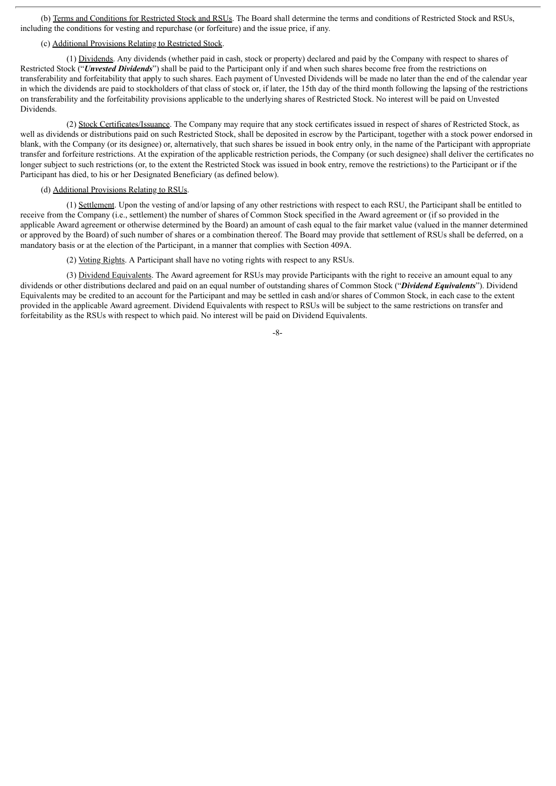(b) Terms and Conditions for Restricted Stock and RSUs. The Board shall determine the terms and conditions of Restricted Stock and RSUs, including the conditions for vesting and repurchase (or forfeiture) and the issue price, if any.

#### (c) Additional Provisions Relating to Restricted Stock.

(1) Dividends. Any dividends (whether paid in cash, stock or property) declared and paid by the Company with respect to shares of Restricted Stock ("*Unvested Dividends*") shall be paid to the Participant only if and when such shares become free from the restrictions on transferability and forfeitability that apply to such shares. Each payment of Unvested Dividends will be made no later than the end of the calendar year in which the dividends are paid to stockholders of that class of stock or, if later, the 15th day of the third month following the lapsing of the restrictions on transferability and the forfeitability provisions applicable to the underlying shares of Restricted Stock. No interest will be paid on Unvested Dividends.

(2) Stock Certificates/Issuance. The Company may require that any stock certificates issued in respect of shares of Restricted Stock, as well as dividends or distributions paid on such Restricted Stock, shall be deposited in escrow by the Participant, together with a stock power endorsed in blank, with the Company (or its designee) or, alternatively, that such shares be issued in book entry only, in the name of the Participant with appropriate transfer and forfeiture restrictions. At the expiration of the applicable restriction periods, the Company (or such designee) shall deliver the certificates no longer subject to such restrictions (or, to the extent the Restricted Stock was issued in book entry, remove the restrictions) to the Participant or if the Participant has died, to his or her Designated Beneficiary (as defined below).

# (d) Additional Provisions Relating to RSUs.

(1) Settlement. Upon the vesting of and/or lapsing of any other restrictions with respect to each RSU, the Participant shall be entitled to receive from the Company (i.e., settlement) the number of shares of Common Stock specified in the Award agreement or (if so provided in the applicable Award agreement or otherwise determined by the Board) an amount of cash equal to the fair market value (valued in the manner determined or approved by the Board) of such number of shares or a combination thereof. The Board may provide that settlement of RSUs shall be deferred, on a mandatory basis or at the election of the Participant, in a manner that complies with Section 409A.

(2) Voting Rights. A Participant shall have no voting rights with respect to any RSUs.

(3) Dividend Equivalents. The Award agreement for RSUs may provide Participants with the right to receive an amount equal to any dividends or other distributions declared and paid on an equal number of outstanding shares of Common Stock ("*Dividend Equivalents*"). Dividend Equivalents may be credited to an account for the Participant and may be settled in cash and/or shares of Common Stock, in each case to the extent provided in the applicable Award agreement. Dividend Equivalents with respect to RSUs will be subject to the same restrictions on transfer and forfeitability as the RSUs with respect to which paid. No interest will be paid on Dividend Equivalents.

 $-8-$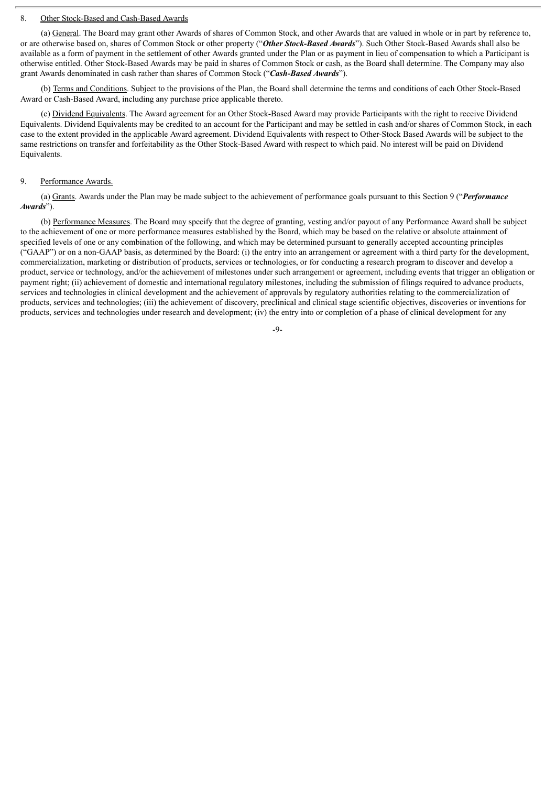#### 8. Other Stock-Based and Cash-Based Awards

(a) General. The Board may grant other Awards of shares of Common Stock, and other Awards that are valued in whole or in part by reference to, or are otherwise based on, shares of Common Stock or other property ("*Other Stock-Based Awards*"). Such Other Stock-Based Awards shall also be available as a form of payment in the settlement of other Awards granted under the Plan or as payment in lieu of compensation to which a Participant is otherwise entitled. Other Stock-Based Awards may be paid in shares of Common Stock or cash, as the Board shall determine. The Company may also grant Awards denominated in cash rather than shares of Common Stock ("*Cash-Based Awards*").

(b) Terms and Conditions. Subject to the provisions of the Plan, the Board shall determine the terms and conditions of each Other Stock-Based Award or Cash-Based Award, including any purchase price applicable thereto.

(c) Dividend Equivalents. The Award agreement for an Other Stock-Based Award may provide Participants with the right to receive Dividend Equivalents. Dividend Equivalents may be credited to an account for the Participant and may be settled in cash and/or shares of Common Stock, in each case to the extent provided in the applicable Award agreement. Dividend Equivalents with respect to Other-Stock Based Awards will be subject to the same restrictions on transfer and forfeitability as the Other Stock-Based Award with respect to which paid. No interest will be paid on Dividend Equivalents.

#### 9. Performance Awards.

(a) Grants. Awards under the Plan may be made subject to the achievement of performance goals pursuant to this Section 9 ("*Performance Awards*").

(b) Performance Measures. The Board may specify that the degree of granting, vesting and/or payout of any Performance Award shall be subject to the achievement of one or more performance measures established by the Board, which may be based on the relative or absolute attainment of specified levels of one or any combination of the following, and which may be determined pursuant to generally accepted accounting principles ("GAAP") or on a non-GAAP basis, as determined by the Board: (i) the entry into an arrangement or agreement with a third party for the development, commercialization, marketing or distribution of products, services or technologies, or for conducting a research program to discover and develop a product, service or technology, and/or the achievement of milestones under such arrangement or agreement, including events that trigger an obligation or payment right; (ii) achievement of domestic and international regulatory milestones, including the submission of filings required to advance products, services and technologies in clinical development and the achievement of approvals by regulatory authorities relating to the commercialization of products, services and technologies; (iii) the achievement of discovery, preclinical and clinical stage scientific objectives, discoveries or inventions for products, services and technologies under research and development; (iv) the entry into or completion of a phase of clinical development for any

 $-9$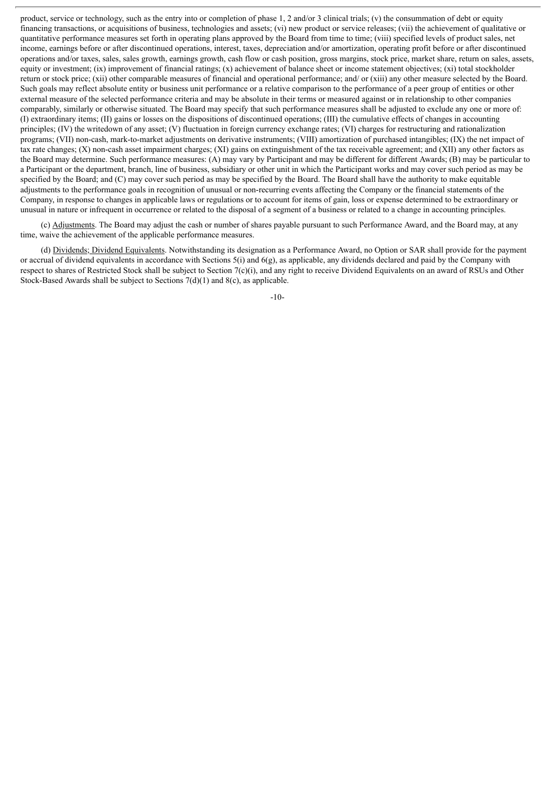product, service or technology, such as the entry into or completion of phase 1, 2 and/or 3 clinical trials; (v) the consummation of debt or equity financing transactions, or acquisitions of business, technologies and assets; (vi) new product or service releases; (vii) the achievement of qualitative or quantitative performance measures set forth in operating plans approved by the Board from time to time; (viii) specified levels of product sales, net income, earnings before or after discontinued operations, interest, taxes, depreciation and/or amortization, operating profit before or after discontinued operations and/or taxes, sales, sales growth, earnings growth, cash flow or cash position, gross margins, stock price, market share, return on sales, assets, equity or investment; (ix) improvement of financial ratings; (x) achievement of balance sheet or income statement objectives; (xi) total stockholder return or stock price; (xii) other comparable measures of financial and operational performance; and/ or (xiii) any other measure selected by the Board. Such goals may reflect absolute entity or business unit performance or a relative comparison to the performance of a peer group of entities or other external measure of the selected performance criteria and may be absolute in their terms or measured against or in relationship to other companies comparably, similarly or otherwise situated. The Board may specify that such performance measures shall be adjusted to exclude any one or more of: (I) extraordinary items; (II) gains or losses on the dispositions of discontinued operations; (III) the cumulative effects of changes in accounting principles; (IV) the writedown of any asset; (V) fluctuation in foreign currency exchange rates; (VI) charges for restructuring and rationalization programs; (VII) non-cash, mark-to-market adjustments on derivative instruments; (VIII) amortization of purchased intangibles; (IX) the net impact of tax rate changes; (X) non-cash asset impairment charges; (XI) gains on extinguishment of the tax receivable agreement; and (XII) any other factors as the Board may determine. Such performance measures: (A) may vary by Participant and may be different for different Awards; (B) may be particular to a Participant or the department, branch, line of business, subsidiary or other unit in which the Participant works and may cover such period as may be specified by the Board; and (C) may cover such period as may be specified by the Board. The Board shall have the authority to make equitable adjustments to the performance goals in recognition of unusual or non-recurring events affecting the Company or the financial statements of the Company, in response to changes in applicable laws or regulations or to account for items of gain, loss or expense determined to be extraordinary or unusual in nature or infrequent in occurrence or related to the disposal of a segment of a business or related to a change in accounting principles.

(c) Adjustments. The Board may adjust the cash or number of shares payable pursuant to such Performance Award, and the Board may, at any time, waive the achievement of the applicable performance measures.

(d) Dividends; Dividend Equivalents. Notwithstanding its designation as a Performance Award, no Option or SAR shall provide for the payment or accrual of dividend equivalents in accordance with Sections 5(i) and 6(g), as applicable, any dividends declared and paid by the Company with respect to shares of Restricted Stock shall be subject to Section  $7(c)(i)$ , and any right to receive Dividend Equivalents on an award of RSUs and Other Stock-Based Awards shall be subject to Sections  $7(d)(1)$  and  $8(c)$ , as applicable.

-10-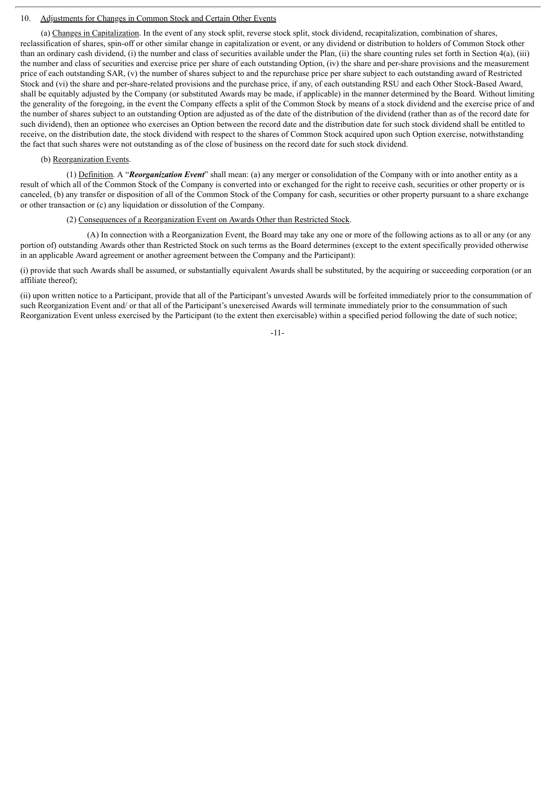#### 10. Adjustments for Changes in Common Stock and Certain Other Events

(a) Changes in Capitalization. In the event of any stock split, reverse stock split, stock dividend, recapitalization, combination of shares, reclassification of shares, spin-off or other similar change in capitalization or event, or any dividend or distribution to holders of Common Stock other than an ordinary cash dividend, (i) the number and class of securities available under the Plan, (ii) the share counting rules set forth in Section 4(a), (iii) the number and class of securities and exercise price per share of each outstanding Option, (iv) the share and per-share provisions and the measurement price of each outstanding SAR, (v) the number of shares subject to and the repurchase price per share subject to each outstanding award of Restricted Stock and (vi) the share and per-share-related provisions and the purchase price, if any, of each outstanding RSU and each Other Stock-Based Award, shall be equitably adjusted by the Company (or substituted Awards may be made, if applicable) in the manner determined by the Board. Without limiting the generality of the foregoing, in the event the Company effects a split of the Common Stock by means of a stock dividend and the exercise price of and the number of shares subject to an outstanding Option are adjusted as of the date of the distribution of the dividend (rather than as of the record date for such dividend), then an optionee who exercises an Option between the record date and the distribution date for such stock dividend shall be entitled to receive, on the distribution date, the stock dividend with respect to the shares of Common Stock acquired upon such Option exercise, notwithstanding the fact that such shares were not outstanding as of the close of business on the record date for such stock dividend.

#### (b) Reorganization Events.

(1) Definition. A "*Reorganization Event*" shall mean: (a) any merger or consolidation of the Company with or into another entity as a result of which all of the Common Stock of the Company is converted into or exchanged for the right to receive cash, securities or other property or is canceled, (b) any transfer or disposition of all of the Common Stock of the Company for cash, securities or other property pursuant to a share exchange or other transaction or (c) any liquidation or dissolution of the Company.

#### (2) Consequences of a Reorganization Event on Awards Other than Restricted Stock.

(A) In connection with a Reorganization Event, the Board may take any one or more of the following actions as to all or any (or any portion of) outstanding Awards other than Restricted Stock on such terms as the Board determines (except to the extent specifically provided otherwise in an applicable Award agreement or another agreement between the Company and the Participant):

(i) provide that such Awards shall be assumed, or substantially equivalent Awards shall be substituted, by the acquiring or succeeding corporation (or an affiliate thereof);

(ii) upon written notice to a Participant, provide that all of the Participant's unvested Awards will be forfeited immediately prior to the consummation of such Reorganization Event and/ or that all of the Participant's unexercised Awards will terminate immediately prior to the consummation of such Reorganization Event unless exercised by the Participant (to the extent then exercisable) within a specified period following the date of such notice;

-11-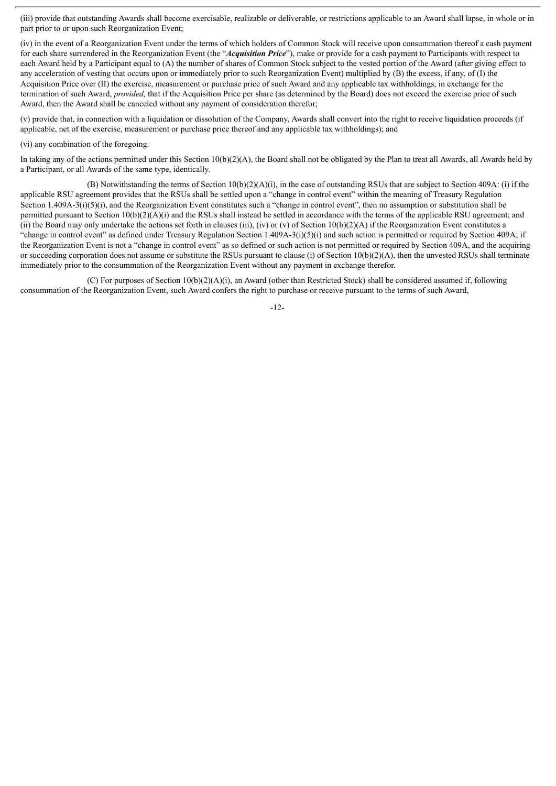(iii) provide that outstanding Awards shall become exercisable, realizable or deliverable, or restrictions applicable to an Award shall lapse, in whole or in part prior to or upon such Reorganization Event;

(iv) in the event of a Reorganization Event under the terms of which holders of Common Stock will receive upon consummation thereof a cash payment for each share surrendered in the Reorganization Event (the "*Acquisition Price*"), make or provide for a cash payment to Participants with respect to each Award held by a Participant equal to (A) the number of shares of Common Stock subject to the vested portion of the Award (after giving effect to any acceleration of vesting that occurs upon or immediately prior to such Reorganization Event) multiplied by (B) the excess, if any, of (I) the Acquisition Price over (II) the exercise, measurement or purchase price of such Award and any applicable tax withholdings, in exchange for the termination of such Award, *provided,* that if the Acquisition Price per share (as determined by the Board) does not exceed the exercise price of such Award, then the Award shall be canceled without any payment of consideration therefor;

(v) provide that, in connection with a liquidation or dissolution of the Company, Awards shall convert into the right to receive liquidation proceeds (if applicable, net of the exercise, measurement or purchase price thereof and any applicable tax withholdings); and

#### (vi) any combination of the foregoing.

In taking any of the actions permitted under this Section  $10(b)(2)(A)$ , the Board shall not be obligated by the Plan to treat all Awards, all Awards held by a Participant, or all Awards of the same type, identically.

(B) Notwithstanding the terms of Section 10(b)(2)(A)(i), in the case of outstanding RSUs that are subject to Section 409A: (i) if the applicable RSU agreement provides that the RSUs shall be settled upon a "change in control event" within the meaning of Treasury Regulation Section 1.409A-3(i)(5)(i), and the Reorganization Event constitutes such a "change in control event", then no assumption or substitution shall be permitted pursuant to Section  $10(b)(2)(A)(i)$  and the RSUs shall instead be settled in accordance with the terms of the applicable RSU agreement; and (ii) the Board may only undertake the actions set forth in clauses (iii), (iv) or (v) of Section 10(b)(2)(A) if the Reorganization Event constitutes a "change in control event" as defined under Treasury Regulation Section 1.409A-3(i)(5)(i) and such action is permitted or required by Section 409A; if the Reorganization Event is not a "change in control event" as so defined or such action is not permitted or required by Section 409A, and the acquiring or succeeding corporation does not assume or substitute the RSUs pursuant to clause (i) of Section 10(b)(2)(A), then the unvested RSUs shall terminate immediately prior to the consummation of the Reorganization Event without any payment in exchange therefor.

(C) For purposes of Section  $10(b)(2)(A)(i)$ , an Award (other than Restricted Stock) shall be considered assumed if, following consummation of the Reorganization Event, such Award confers the right to purchase or receive pursuant to the terms of such Award,

-12-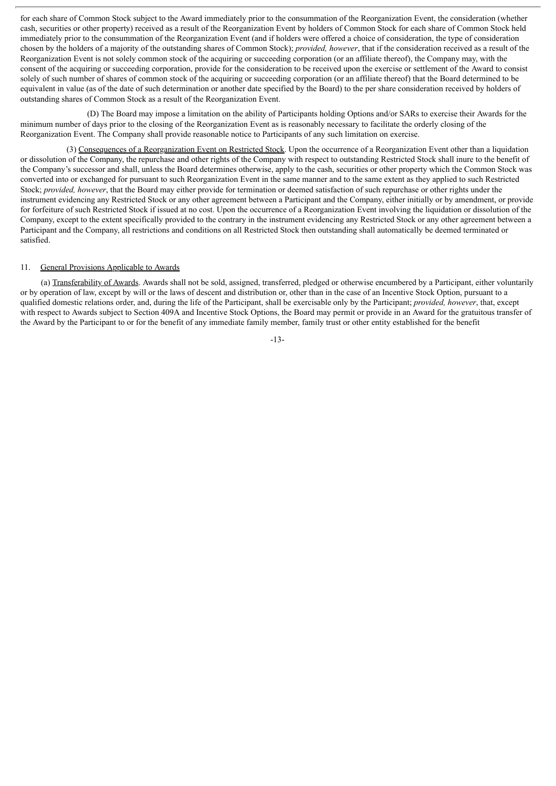for each share of Common Stock subject to the Award immediately prior to the consummation of the Reorganization Event, the consideration (whether cash, securities or other property) received as a result of the Reorganization Event by holders of Common Stock for each share of Common Stock held immediately prior to the consummation of the Reorganization Event (and if holders were offered a choice of consideration, the type of consideration chosen by the holders of a majority of the outstanding shares of Common Stock); *provided, however*, that if the consideration received as a result of the Reorganization Event is not solely common stock of the acquiring or succeeding corporation (or an affiliate thereof), the Company may, with the consent of the acquiring or succeeding corporation, provide for the consideration to be received upon the exercise or settlement of the Award to consist solely of such number of shares of common stock of the acquiring or succeeding corporation (or an affiliate thereof) that the Board determined to be equivalent in value (as of the date of such determination or another date specified by the Board) to the per share consideration received by holders of outstanding shares of Common Stock as a result of the Reorganization Event.

(D) The Board may impose a limitation on the ability of Participants holding Options and/or SARs to exercise their Awards for the minimum number of days prior to the closing of the Reorganization Event as is reasonably necessary to facilitate the orderly closing of the Reorganization Event. The Company shall provide reasonable notice to Participants of any such limitation on exercise.

(3) Consequences of a Reorganization Event on Restricted Stock. Upon the occurrence of a Reorganization Event other than a liquidation or dissolution of the Company, the repurchase and other rights of the Company with respect to outstanding Restricted Stock shall inure to the benefit of the Company's successor and shall, unless the Board determines otherwise, apply to the cash, securities or other property which the Common Stock was converted into or exchanged for pursuant to such Reorganization Event in the same manner and to the same extent as they applied to such Restricted Stock; *provided, however*, that the Board may either provide for termination or deemed satisfaction of such repurchase or other rights under the instrument evidencing any Restricted Stock or any other agreement between a Participant and the Company, either initially or by amendment, or provide for forfeiture of such Restricted Stock if issued at no cost. Upon the occurrence of a Reorganization Event involving the liquidation or dissolution of the Company, except to the extent specifically provided to the contrary in the instrument evidencing any Restricted Stock or any other agreement between a Participant and the Company, all restrictions and conditions on all Restricted Stock then outstanding shall automatically be deemed terminated or satisfied.

#### 11. General Provisions Applicable to Awards

(a) Transferability of Awards. Awards shall not be sold, assigned, transferred, pledged or otherwise encumbered by a Participant, either voluntarily or by operation of law, except by will or the laws of descent and distribution or, other than in the case of an Incentive Stock Option, pursuant to a qualified domestic relations order, and, during the life of the Participant, shall be exercisable only by the Participant; *provided, however*, that, except with respect to Awards subject to Section 409A and Incentive Stock Options, the Board may permit or provide in an Award for the gratuitous transfer of the Award by the Participant to or for the benefit of any immediate family member, family trust or other entity established for the benefit

-13-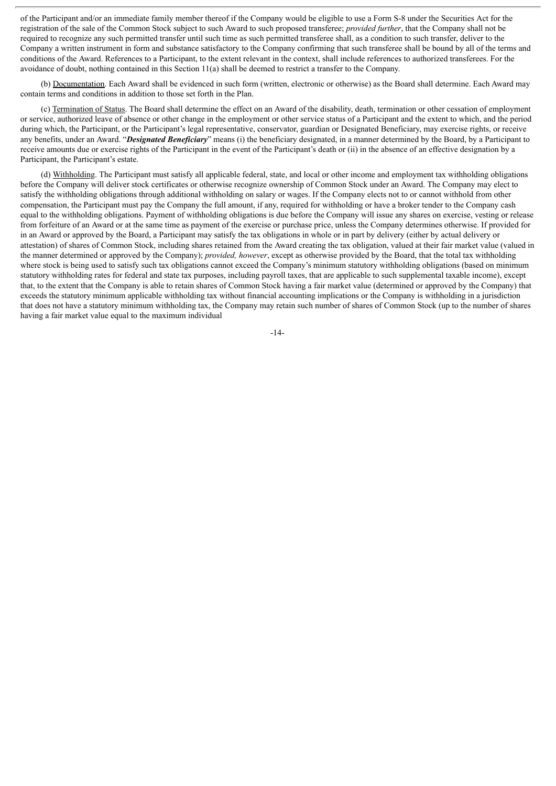of the Participant and/or an immediate family member thereof if the Company would be eligible to use a Form S-8 under the Securities Act for the registration of the sale of the Common Stock subject to such Award to such proposed transferee; *provided further*, that the Company shall not be required to recognize any such permitted transfer until such time as such permitted transferee shall, as a condition to such transfer, deliver to the Company a written instrument in form and substance satisfactory to the Company confirming that such transferee shall be bound by all of the terms and conditions of the Award. References to a Participant, to the extent relevant in the context, shall include references to authorized transferees. For the avoidance of doubt, nothing contained in this Section 11(a) shall be deemed to restrict a transfer to the Company.

(b) Documentation. Each Award shall be evidenced in such form (written, electronic or otherwise) as the Board shall determine. Each Award may contain terms and conditions in addition to those set forth in the Plan.

(c) Termination of Status. The Board shall determine the effect on an Award of the disability, death, termination or other cessation of employment or service, authorized leave of absence or other change in the employment or other service status of a Participant and the extent to which, and the period during which, the Participant, or the Participant's legal representative, conservator, guardian or Designated Beneficiary, may exercise rights, or receive any benefits, under an Award. "*Designated Beneficiary*" means (i) the beneficiary designated, in a manner determined by the Board, by a Participant to receive amounts due or exercise rights of the Participant in the event of the Participant's death or (ii) in the absence of an effective designation by a Participant, the Participant's estate.

(d) Withholding. The Participant must satisfy all applicable federal, state, and local or other income and employment tax withholding obligations before the Company will deliver stock certificates or otherwise recognize ownership of Common Stock under an Award. The Company may elect to satisfy the withholding obligations through additional withholding on salary or wages. If the Company elects not to or cannot withhold from other compensation, the Participant must pay the Company the full amount, if any, required for withholding or have a broker tender to the Company cash equal to the withholding obligations. Payment of withholding obligations is due before the Company will issue any shares on exercise, vesting or release from forfeiture of an Award or at the same time as payment of the exercise or purchase price, unless the Company determines otherwise. If provided for in an Award or approved by the Board, a Participant may satisfy the tax obligations in whole or in part by delivery (either by actual delivery or attestation) of shares of Common Stock, including shares retained from the Award creating the tax obligation, valued at their fair market value (valued in the manner determined or approved by the Company); *provided, however*, except as otherwise provided by the Board, that the total tax withholding where stock is being used to satisfy such tax obligations cannot exceed the Company's minimum statutory withholding obligations (based on minimum statutory withholding rates for federal and state tax purposes, including payroll taxes, that are applicable to such supplemental taxable income), except that, to the extent that the Company is able to retain shares of Common Stock having a fair market value (determined or approved by the Company) that exceeds the statutory minimum applicable withholding tax without financial accounting implications or the Company is withholding in a jurisdiction that does not have a statutory minimum withholding tax, the Company may retain such number of shares of Common Stock (up to the number of shares having a fair market value equal to the maximum individual

-14-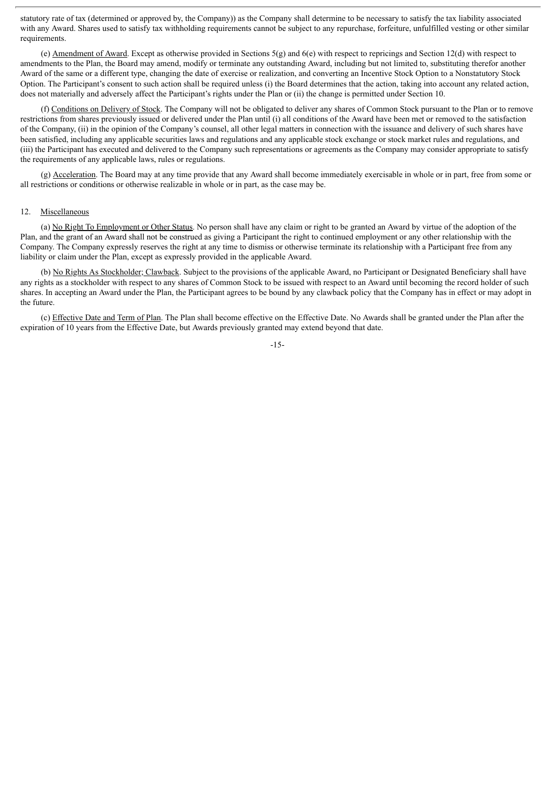statutory rate of tax (determined or approved by, the Company)) as the Company shall determine to be necessary to satisfy the tax liability associated with any Award. Shares used to satisfy tax withholding requirements cannot be subject to any repurchase, forfeiture, unfulfilled vesting or other similar requirements.

(e) Amendment of Award. Except as otherwise provided in Sections  $5(g)$  and  $6(e)$  with respect to repricings and Section 12(d) with respect to amendments to the Plan, the Board may amend, modify or terminate any outstanding Award, including but not limited to, substituting therefor another Award of the same or a different type, changing the date of exercise or realization, and converting an Incentive Stock Option to a Nonstatutory Stock Option. The Participant's consent to such action shall be required unless (i) the Board determines that the action, taking into account any related action, does not materially and adversely affect the Participant's rights under the Plan or (ii) the change is permitted under Section 10.

(f) Conditions on Delivery of Stock. The Company will not be obligated to deliver any shares of Common Stock pursuant to the Plan or to remove restrictions from shares previously issued or delivered under the Plan until (i) all conditions of the Award have been met or removed to the satisfaction of the Company, (ii) in the opinion of the Company's counsel, all other legal matters in connection with the issuance and delivery of such shares have been satisfied, including any applicable securities laws and regulations and any applicable stock exchange or stock market rules and regulations, and (iii) the Participant has executed and delivered to the Company such representations or agreements as the Company may consider appropriate to satisfy the requirements of any applicable laws, rules or regulations.

(g) Acceleration. The Board may at any time provide that any Award shall become immediately exercisable in whole or in part, free from some or all restrictions or conditions or otherwise realizable in whole or in part, as the case may be.

#### 12. Miscellaneous

(a) No Right To Employment or Other Status. No person shall have any claim or right to be granted an Award by virtue of the adoption of the Plan, and the grant of an Award shall not be construed as giving a Participant the right to continued employment or any other relationship with the Company. The Company expressly reserves the right at any time to dismiss or otherwise terminate its relationship with a Participant free from any liability or claim under the Plan, except as expressly provided in the applicable Award.

(b) No Rights As Stockholder; Clawback. Subject to the provisions of the applicable Award, no Participant or Designated Beneficiary shall have any rights as a stockholder with respect to any shares of Common Stock to be issued with respect to an Award until becoming the record holder of such shares. In accepting an Award under the Plan, the Participant agrees to be bound by any clawback policy that the Company has in effect or may adopt in the future.

(c) Effective Date and Term of Plan. The Plan shall become effective on the Effective Date. No Awards shall be granted under the Plan after the expiration of 10 years from the Effective Date, but Awards previously granted may extend beyond that date.

-15-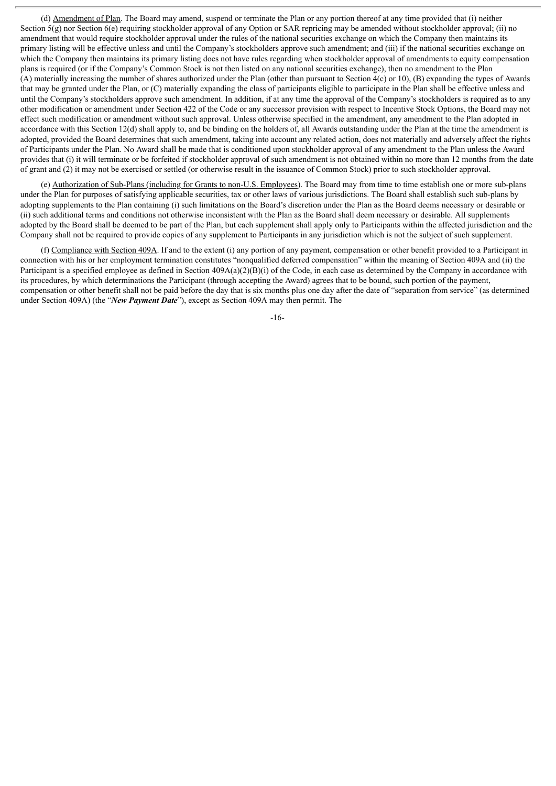(d) Amendment of Plan. The Board may amend, suspend or terminate the Plan or any portion thereof at any time provided that (i) neither Section 5(g) nor Section 6(e) requiring stockholder approval of any Option or SAR repricing may be amended without stockholder approval; (ii) no amendment that would require stockholder approval under the rules of the national securities exchange on which the Company then maintains its primary listing will be effective unless and until the Company's stockholders approve such amendment; and (iii) if the national securities exchange on which the Company then maintains its primary listing does not have rules regarding when stockholder approval of amendments to equity compensation plans is required (or if the Company's Common Stock is not then listed on any national securities exchange), then no amendment to the Plan (A) materially increasing the number of shares authorized under the Plan (other than pursuant to Section 4(c) or 10), (B) expanding the types of Awards that may be granted under the Plan, or (C) materially expanding the class of participants eligible to participate in the Plan shall be effective unless and until the Company's stockholders approve such amendment. In addition, if at any time the approval of the Company's stockholders is required as to any other modification or amendment under Section 422 of the Code or any successor provision with respect to Incentive Stock Options, the Board may not effect such modification or amendment without such approval. Unless otherwise specified in the amendment, any amendment to the Plan adopted in accordance with this Section 12(d) shall apply to, and be binding on the holders of, all Awards outstanding under the Plan at the time the amendment is adopted, provided the Board determines that such amendment, taking into account any related action, does not materially and adversely affect the rights of Participants under the Plan. No Award shall be made that is conditioned upon stockholder approval of any amendment to the Plan unless the Award provides that (i) it will terminate or be forfeited if stockholder approval of such amendment is not obtained within no more than 12 months from the date of grant and (2) it may not be exercised or settled (or otherwise result in the issuance of Common Stock) prior to such stockholder approval.

(e) Authorization of Sub-Plans (including for Grants to non-U.S. Employees). The Board may from time to time establish one or more sub-plans under the Plan for purposes of satisfying applicable securities, tax or other laws of various jurisdictions. The Board shall establish such sub-plans by adopting supplements to the Plan containing (i) such limitations on the Board's discretion under the Plan as the Board deems necessary or desirable or (ii) such additional terms and conditions not otherwise inconsistent with the Plan as the Board shall deem necessary or desirable. All supplements adopted by the Board shall be deemed to be part of the Plan, but each supplement shall apply only to Participants within the affected jurisdiction and the Company shall not be required to provide copies of any supplement to Participants in any jurisdiction which is not the subject of such supplement.

(f) Compliance with Section 409A. If and to the extent (i) any portion of any payment, compensation or other benefit provided to a Participant in connection with his or her employment termination constitutes "nonqualified deferred compensation" within the meaning of Section 409A and (ii) the Participant is a specified employee as defined in Section 409A(a)(2)(B)(i) of the Code, in each case as determined by the Company in accordance with its procedures, by which determinations the Participant (through accepting the Award) agrees that to be bound, such portion of the payment, compensation or other benefit shall not be paid before the day that is six months plus one day after the date of "separation from service" (as determined under Section 409A) (the "*New Payment Date*"), except as Section 409A may then permit. The

-16-